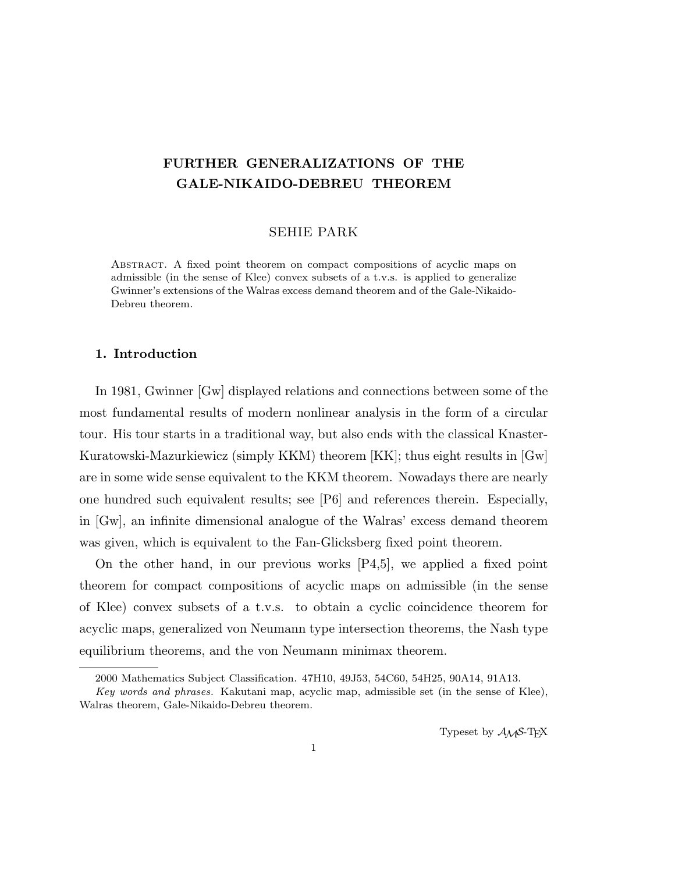# FURTHER GENERALIZATIONS OF THE GALE-NIKAIDO-DEBREU THEOREM

## SEHIE PARK

Abstract. A fixed point theorem on compact compositions of acyclic maps on admissible (in the sense of Klee) convex subsets of a t.v.s. is applied to generalize Gwinner's extensions of the Walras excess demand theorem and of the Gale-Nikaido-Debreu theorem.

## 1. Introduction

In 1981, Gwinner [Gw] displayed relations and connections between some of the most fundamental results of modern nonlinear analysis in the form of a circular tour. His tour starts in a traditional way, but also ends with the classical Knaster-Kuratowski-Mazurkiewicz (simply KKM) theorem [KK]; thus eight results in [Gw] are in some wide sense equivalent to the KKM theorem. Nowadays there are nearly one hundred such equivalent results; see [P6] and references therein. Especially, in [Gw], an infinite dimensional analogue of the Walras' excess demand theorem was given, which is equivalent to the Fan-Glicksberg fixed point theorem.

On the other hand, in our previous works [P4,5], we applied a fixed point theorem for compact compositions of acyclic maps on admissible (in the sense of Klee) convex subsets of a t.v.s. to obtain a cyclic coincidence theorem for acyclic maps, generalized von Neumann type intersection theorems, the Nash type equilibrium theorems, and the von Neumann minimax theorem.

Typeset by  $\mathcal{A}_{\mathcal{M}}\mathcal{S}\text{-}\mathrm{Tr}X$ 

<sup>2000</sup> Mathematics Subject Classification. 47H10, 49J53, 54C60, 54H25, 90A14, 91A13.

Key words and phrases. Kakutani map, acyclic map, admissible set (in the sense of Klee), Walras theorem, Gale-Nikaido-Debreu theorem.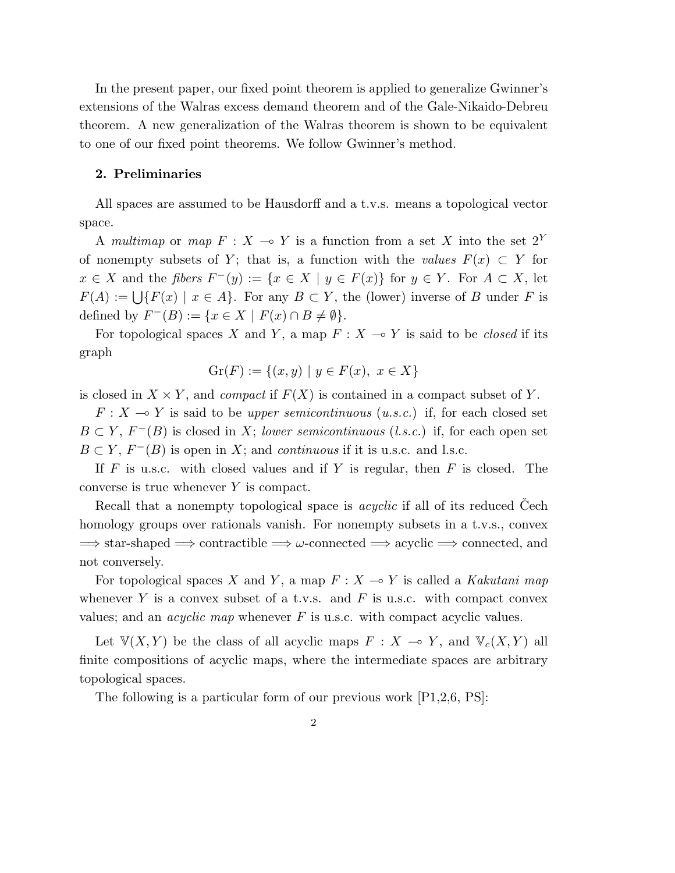In the present paper, our fixed point theorem is applied to generalize Gwinner's extensions of the Walras excess demand theorem and of the Gale-Nikaido-Debreu theorem. A new generalization of the Walras theorem is shown to be equivalent to one of our fixed point theorems. We follow Gwinner's method.

#### 2. Preliminaries

All spaces are assumed to be Hausdorff and a t.v.s. means a topological vector space.

A multimap or map  $F : X \multimap Y$  is a function from a set X into the set  $2^Y$ of nonempty subsets of Y; that is, a function with the values  $F(x) \subset Y$  for  $x \in X$  and the fibers  $F^-(y) := \{x \in X \mid y \in F(x)\}\$ for  $y \in Y$ . For  $A \subset X$ , let  $F(A) := \bigcup \{F(x) \mid x \in A\}.$  For any  $B \subset Y$ , the (lower) inverse of B under F is defined by  $F^-(B) := \{x \in X \mid F(x) \cap B \neq \emptyset\}.$ 

For topological spaces X and Y, a map  $F : X \rightarrow Y$  is said to be *closed* if its graph

$$
Gr(F) := \{(x, y) \mid y \in F(x), \ x \in X\}
$$

is closed in  $X \times Y$ , and *compact* if  $F(X)$  is contained in a compact subset of Y.

 $F: X \longrightarrow Y$  is said to be upper semicontinuous (u.s.c.) if, for each closed set  $B \subset Y$ ,  $F^{-}(B)$  is closed in X; lower semicontinuous (l.s.c.) if, for each open set  $B \subset Y$ ,  $F^{-}(B)$  is open in X; and *continuous* if it is u.s.c. and l.s.c.

If  $F$  is u.s.c. with closed values and if  $Y$  is regular, then  $F$  is closed. The converse is true whenever Y is compact.

Recall that a nonempty topological space is *acyclic* if all of its reduced Cech homology groups over rationals vanish. For nonempty subsets in a t.v.s., convex  $\Rightarrow$  star-shaped  $\Rightarrow$  contractible  $\Rightarrow$   $\omega$ -connected  $\Rightarrow$  acyclic  $\Rightarrow$  connected, and not conversely.

For topological spaces X and Y, a map  $F : X \longrightarrow Y$  is called a Kakutani map whenever Y is a convex subset of a t.v.s. and  $F$  is u.s.c. with compact convex values; and an *acyclic map* whenever  $F$  is u.s.c. with compact acyclic values.

Let  $V(X, Y)$  be the class of all acyclic maps  $F : X \to Y$ , and  $V_c(X, Y)$  all finite compositions of acyclic maps, where the intermediate spaces are arbitrary topological spaces.

The following is a particular form of our previous work [P1,2,6, PS]: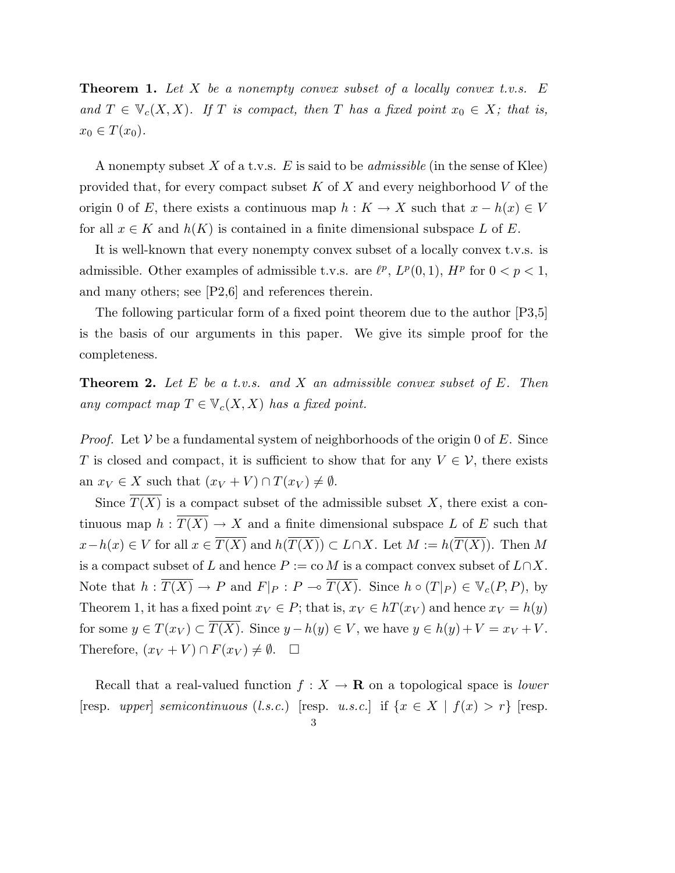**Theorem 1.** Let X be a nonempty convex subset of a locally convex t.v.s.  $E$ and  $T \in \mathbb{V}_c(X,X)$ . If T is compact, then T has a fixed point  $x_0 \in X$ ; that is,  $x_0 \in T(x_0)$ .

A nonempty subset X of a t.v.s. E is said to be *admissible* (in the sense of Klee) provided that, for every compact subset  $K$  of  $X$  and every neighborhood  $V$  of the origin 0 of E, there exists a continuous map  $h: K \to X$  such that  $x - h(x) \in V$ for all  $x \in K$  and  $h(K)$  is contained in a finite dimensional subspace L of E.

It is well-known that every nonempty convex subset of a locally convex t.v.s. is admissible. Other examples of admissible t.v.s. are  $\ell^p$ ,  $L^p(0,1)$ ,  $H^p$  for  $0 < p < 1$ , and many others; see [P2,6] and references therein.

The following particular form of a fixed point theorem due to the author [P3,5] is the basis of our arguments in this paper. We give its simple proof for the completeness.

**Theorem 2.** Let E be a t.v.s. and X an admissible convex subset of E. Then any compact map  $T \in \mathbb{V}_c(X,X)$  has a fixed point.

*Proof.* Let  $V$  be a fundamental system of neighborhoods of the origin 0 of E. Since T is closed and compact, it is sufficient to show that for any  $V \in \mathcal{V}$ , there exists an  $x_V \in X$  such that  $(x_V + V) \cap T(x_V) \neq \emptyset$ .

Since  $T(X)$  is a compact subset of the admissible subset X, there exist a continuous map  $h: \overline{T(X)} \to X$  and a finite dimensional subspace L of E such that  $x-h(x) \in V$  for all  $x \in \overline{T(X)}$  and  $h(\overline{T(X)}) \subset L \cap X$ . Let  $M := h(\overline{T(X)})$ . Then M is a compact subset of L and hence  $P := \text{co } M$  is a compact convex subset of  $L \cap X$ . Note that  $h: \overline{T(X)} \to P$  and  $F|_P: P \to \overline{T(X)}$ . Since  $h \circ (T|_P) \in \mathbb{V}_c(P, P)$ , by Theorem 1, it has a fixed point  $x_V \in P$ ; that is,  $x_V \in h(x_V)$  and hence  $x_V = h(y)$ for some  $y \in T(x_V) \subset \overline{T(X)}$ . Since  $y - h(y) \in V$ , we have  $y \in h(y) + V = x_V + V$ . Therefore,  $(x_V + V) \cap F(x_V) \neq \emptyset$ .  $\Box$ 

Recall that a real-valued function  $f : X \to \mathbf{R}$  on a topological space is *lower* [resp. upper] semicontinuous (l.s.c.) [resp. u.s.c.] if  $\{x \in X \mid f(x) > r\}$  [resp. 3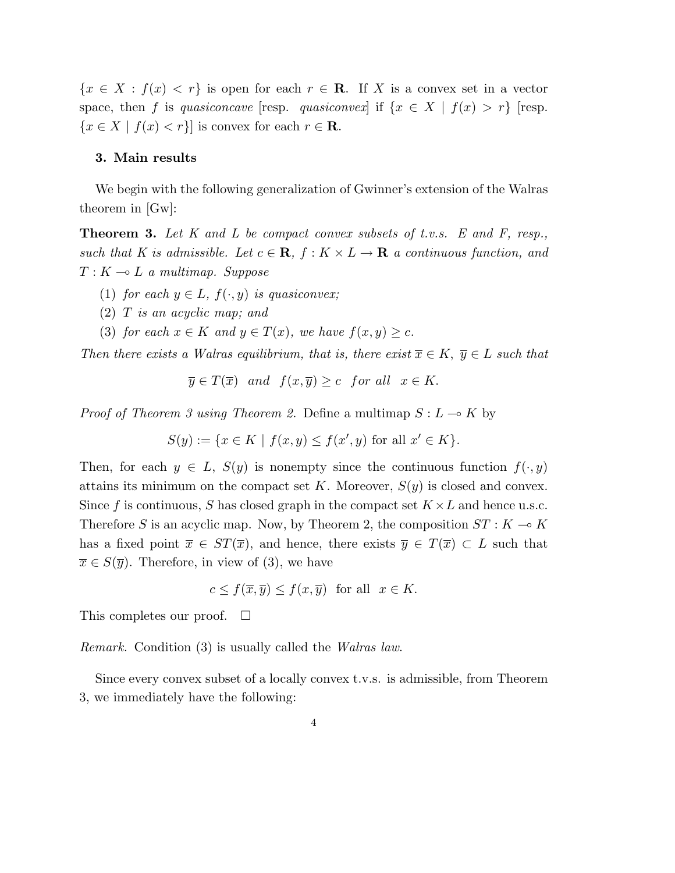${x \in X : f(x) < r}$  is open for each  $r \in \mathbb{R}$ . If X is a convex set in a vector space, then f is quasiconcave [resp. quasiconvex] if  $\{x \in X \mid f(x) > r\}$  [resp.  ${x \in X \mid f(x) < r}$  is convex for each  $r \in \mathbb{R}$ .

## 3. Main results

We begin with the following generalization of Gwinner's extension of the Walras theorem in  $|Gw|$ :

**Theorem 3.** Let K and L be compact convex subsets of t.v.s. E and F, resp., such that K is admissible. Let  $c \in \mathbf{R}$ ,  $f : K \times L \to \mathbf{R}$  a continuous function, and  $T: K \longrightarrow L$  a multimap. Suppose

- (1) for each  $y \in L$ ,  $f(\cdot, y)$  is quasiconvex;
- (2) T is an acyclic map; and
- (3) for each  $x \in K$  and  $y \in T(x)$ , we have  $f(x, y) \geq c$ .

Then there exists a Walras equilibrium, that is, there exist  $\overline{x} \in K$ ,  $\overline{y} \in L$  such that

$$
\overline{y} \in T(\overline{x})
$$
 and  $f(x, \overline{y}) \ge c$  for all  $x \in K$ .

*Proof of Theorem 3 using Theorem 2.* Define a multimap  $S: L \to K$  by

$$
S(y) := \{ x \in K \mid f(x, y) \le f(x', y) \text{ for all } x' \in K \}.
$$

Then, for each  $y \in L$ ,  $S(y)$  is nonempty since the continuous function  $f(\cdot, y)$ attains its minimum on the compact set K. Moreover,  $S(y)$  is closed and convex. Since f is continuous, S has closed graph in the compact set  $K \times L$  and hence u.s.c. Therefore S is an acyclic map. Now, by Theorem 2, the composition  $ST: K \to K$ has a fixed point  $\overline{x} \in ST(\overline{x})$ , and hence, there exists  $\overline{y} \in T(\overline{x}) \subset L$  such that  $\overline{x} \in S(\overline{y})$ . Therefore, in view of (3), we have

$$
c \le f(\overline{x}, \overline{y}) \le f(x, \overline{y}) \text{ for all } x \in K.
$$

This completes our proof.  $\Box$ 

Remark. Condition (3) is usually called the Walras law.

Since every convex subset of a locally convex t.v.s. is admissible, from Theorem 3, we immediately have the following: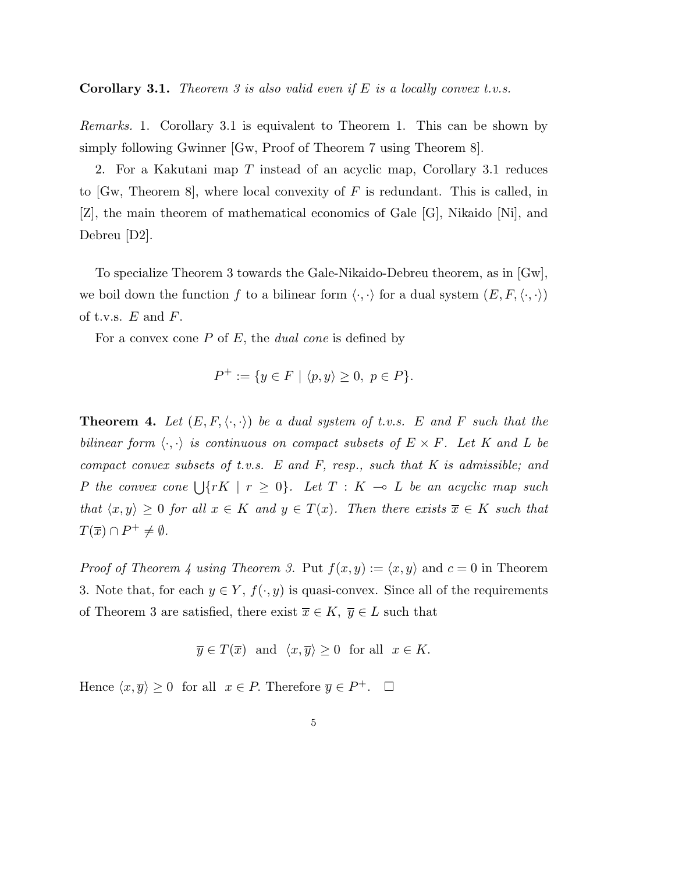**Corollary 3.1.** Theorem 3 is also valid even if E is a locally convex t.v.s.

Remarks. 1. Corollary 3.1 is equivalent to Theorem 1. This can be shown by simply following Gwinner [Gw, Proof of Theorem 7 using Theorem 8].

2. For a Kakutani map T instead of an acyclic map, Corollary 3.1 reduces to  $[Gw, Theorem 8]$ , where local convexity of F is redundant. This is called, in [Z], the main theorem of mathematical economics of Gale [G], Nikaido [Ni], and Debreu [D2].

To specialize Theorem 3 towards the Gale-Nikaido-Debreu theorem, as in [Gw], we boil down the function f to a bilinear form  $\langle \cdot, \cdot \rangle$  for a dual system  $(E, F, \langle \cdot, \cdot \rangle)$ of t.v.s.  $E$  and  $F$ .

For a convex cone  $P$  of  $E$ , the *dual cone* is defined by

$$
P^+ := \{ y \in F \mid \langle p, y \rangle \ge 0, \ p \in P \}.
$$

**Theorem 4.** Let  $(E, F, \langle \cdot, \cdot \rangle)$  be a dual system of t.v.s. E and F such that the bilinear form  $\langle \cdot, \cdot \rangle$  is continuous on compact subsets of  $E \times F$ . Let K and L be compact convex subsets of t.v.s. E and F, resp., such that K is admissible; and P the convex cone  $\bigcup \{ rK \mid r \geq 0 \}$ . Let  $T : K \multimap L$  be an acyclic map such that  $\langle x, y \rangle \geq 0$  for all  $x \in K$  and  $y \in T(x)$ . Then there exists  $\overline{x} \in K$  such that  $T(\overline{x}) \cap P^+ \neq \emptyset.$ 

*Proof of Theorem 4 using Theorem 3.* Put  $f(x, y) := \langle x, y \rangle$  and  $c = 0$  in Theorem 3. Note that, for each  $y \in Y$ ,  $f(\cdot, y)$  is quasi-convex. Since all of the requirements of Theorem 3 are satisfied, there exist  $\overline{x} \in K$ ,  $\overline{y} \in L$  such that

$$
\overline{y} \in T(\overline{x})
$$
 and  $\langle x, \overline{y} \rangle \ge 0$  for all  $x \in K$ .

Hence  $\langle x, \overline{y} \rangle \ge 0$  for all  $x \in P$ . Therefore  $\overline{y} \in P^+$ .  $\Box$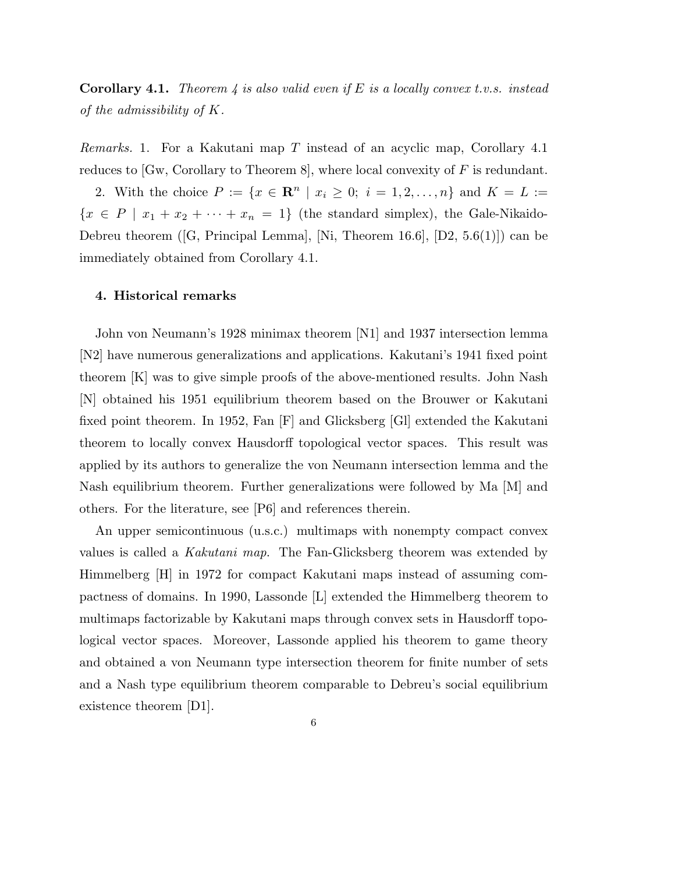**Corollary 4.1.** Theorem 4 is also valid even if E is a locally convex t.v.s. instead of the admissibility of K.

Remarks. 1. For a Kakutani map T instead of an acyclic map, Corollary 4.1 reduces to  $[Gw, Corollary to Theorem 8]$ , where local convexity of F is redundant.

2. With the choice  $P := \{x \in \mathbb{R}^n \mid x_i \geq 0; i = 1, 2, ..., n\}$  and  $K = L :=$  ${x \in P \mid x_1 + x_2 + \cdots + x_n = 1}$  (the standard simplex), the Gale-Nikaido-Debreu theorem ([G, Principal Lemma], [Ni, Theorem 16.6], [D2, 5.6(1)]) can be immediately obtained from Corollary 4.1.

#### 4. Historical remarks

John von Neumann's 1928 minimax theorem [N1] and 1937 intersection lemma [N2] have numerous generalizations and applications. Kakutani's 1941 fixed point theorem [K] was to give simple proofs of the above-mentioned results. John Nash [N] obtained his 1951 equilibrium theorem based on the Brouwer or Kakutani fixed point theorem. In 1952, Fan [F] and Glicksberg [Gl] extended the Kakutani theorem to locally convex Hausdorff topological vector spaces. This result was applied by its authors to generalize the von Neumann intersection lemma and the Nash equilibrium theorem. Further generalizations were followed by Ma [M] and others. For the literature, see [P6] and references therein.

An upper semicontinuous (u.s.c.) multimaps with nonempty compact convex values is called a Kakutani map. The Fan-Glicksberg theorem was extended by Himmelberg [H] in 1972 for compact Kakutani maps instead of assuming compactness of domains. In 1990, Lassonde [L] extended the Himmelberg theorem to multimaps factorizable by Kakutani maps through convex sets in Hausdorff topological vector spaces. Moreover, Lassonde applied his theorem to game theory and obtained a von Neumann type intersection theorem for finite number of sets and a Nash type equilibrium theorem comparable to Debreu's social equilibrium existence theorem [D1].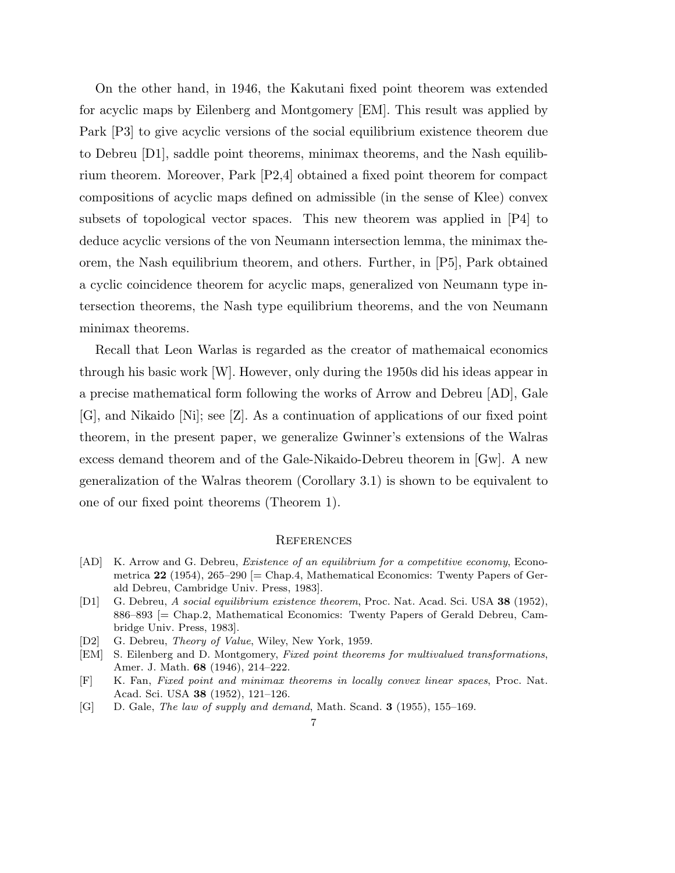On the other hand, in 1946, the Kakutani fixed point theorem was extended for acyclic maps by Eilenberg and Montgomery [EM]. This result was applied by Park [P3] to give acyclic versions of the social equilibrium existence theorem due to Debreu [D1], saddle point theorems, minimax theorems, and the Nash equilibrium theorem. Moreover, Park [P2,4] obtained a fixed point theorem for compact compositions of acyclic maps defined on admissible (in the sense of Klee) convex subsets of topological vector spaces. This new theorem was applied in [P4] to deduce acyclic versions of the von Neumann intersection lemma, the minimax theorem, the Nash equilibrium theorem, and others. Further, in [P5], Park obtained a cyclic coincidence theorem for acyclic maps, generalized von Neumann type intersection theorems, the Nash type equilibrium theorems, and the von Neumann minimax theorems.

Recall that Leon Warlas is regarded as the creator of mathemaical economics through his basic work [W]. However, only during the 1950s did his ideas appear in a precise mathematical form following the works of Arrow and Debreu [AD], Gale [G], and Nikaido [Ni]; see [Z]. As a continuation of applications of our fixed point theorem, in the present paper, we generalize Gwinner's extensions of the Walras excess demand theorem and of the Gale-Nikaido-Debreu theorem in [Gw]. A new generalization of the Walras theorem (Corollary 3.1) is shown to be equivalent to one of our fixed point theorems (Theorem 1).

#### **REFERENCES**

- [AD] K. Arrow and G. Debreu, *Existence of an equilibrium for a competitive economy*, Econometrica  $22$  (1954), 265–290 [= Chap.4, Mathematical Economics: Twenty Papers of Gerald Debreu, Cambridge Univ. Press, 1983].
- [D1] G. Debreu, A social equilibrium existence theorem, Proc. Nat. Acad. Sci. USA 38 (1952), 886–893 [= Chap.2, Mathematical Economics: Twenty Papers of Gerald Debreu, Cambridge Univ. Press, 1983].
- [D2] G. Debreu, *Theory of Value*, Wiley, New York, 1959.
- [EM] S. Eilenberg and D. Montgomery, Fixed point theorems for multivalued transformations, Amer. J. Math. 68 (1946), 214–222.
- [F] K. Fan, Fixed point and minimax theorems in locally convex linear spaces, Proc. Nat. Acad. Sci. USA 38 (1952), 121–126.
- [G] D. Gale, The law of supply and demand, Math. Scand. **3** (1955), 155–169.